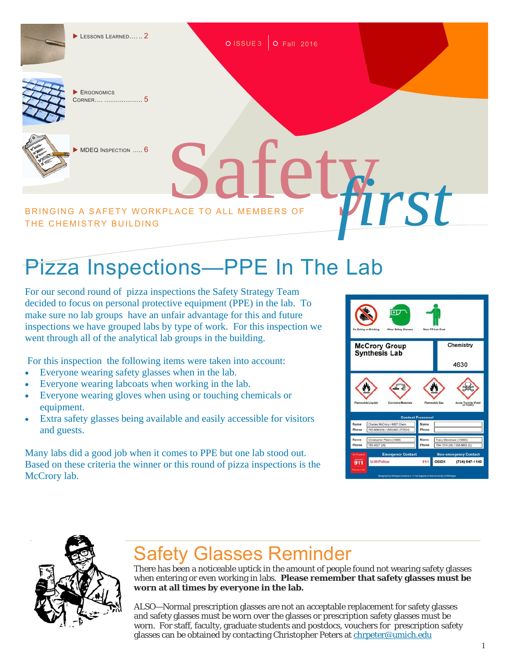$\blacktriangleright$  Lessons Learned...... 2

O ISSUE 3 O Fall 2016



 ERGONOMICS CORNER…. .................... 5



MDEQ INSPECTION ..... 6

BRINGING A SAFETY WORKPLACE TO ALL MEMBERS OF **WINDER** THE CHEMISTRY BUILDING

## Pizza Inspections-PPE In The Lab

For our second round of pizza inspections the Safety Strategy Team decided to focus on personal protective equipment (PPE) in the lab. To make sure no lab groups have an unfair advantage for this and future inspections we have grouped labs by type of work. For this inspection we went through all of the analytical lab groups in the building.

For this inspection the following items were taken into account:

- Everyone wearing safety glasses when in the lab.
- Everyone wearing labcoats when working in the lab.
- Everyone wearing gloves when using or touching chemicals or equipment.
- Extra safety glasses being available and easily accessible for visitors and guests.

Many labs did a good job when it comes to PPE but one lab stood out. Based on these criteria the winner or this round of pizza inspections is the McCrory lab.





## Safety Glasses Reminder

There has been a noticeable uptick in the amount of people found not wearing safety glasses when entering or even working in labs. **Please remember that safety glasses must be worn at all times by everyone in the lab.**

ALSO—Normal prescription glasses are not an acceptable replacement for safety glasses and safety glasses must be worn over the glasses or prescription safety glasses must be worn. For staff, faculty, graduate students and postdocs, vouchers for prescription safety glasses can be obtained by contacting Christopher Peters at chrpeter@umich.edu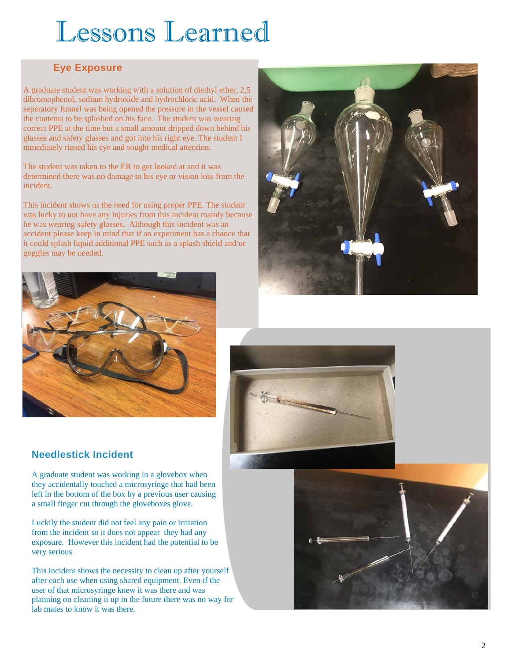# Lessons Learned

#### **Eye Exposure**

A graduate student was working with a solution of diethyl ether, 2,5 dibromophenol, sodium hydroxide and hydrochloric acid. When the seperatory funnel was being opened the pressure in the vessel caused the contents to be splashed on his face. The student was wearing correct PPE at the time but a small amount dripped down behind his glasses and safety glasses and got into his right eye. The student I mmediately rinsed his eye and sought medical attention.

The student was taken to the ER to get looked at and it was determined there was no damage to his eye or vision loss from the incident.

This incident shows us the need for using proper PPE. The student was lucky to not have any injuries from this incident mainly because he was wearing safety glasses. Although this incident was an accident please keep in mind that if an experiment has a chance that it could splash liquid additional PPE such as a splash shield and/or goggles may be needed.





#### **Needlestick Incident**

A graduate student was working in a glovebox when they accidentally touched a microsyringe that had been left in the bottom of the box by a previous user causing a small finger cut through the gloveboxes glove.

Luckily the student did not feel any pain or irritation from the incident so it does not appear they had any exposure. However this incident had the potential to be very serious

This incident shows the necessity to clean up after yourself after each use when using shared equipment. Even if the user of that microsyringe knew it was there and was planning on cleaning it up in the future there was no way for lab mates to know it was there.



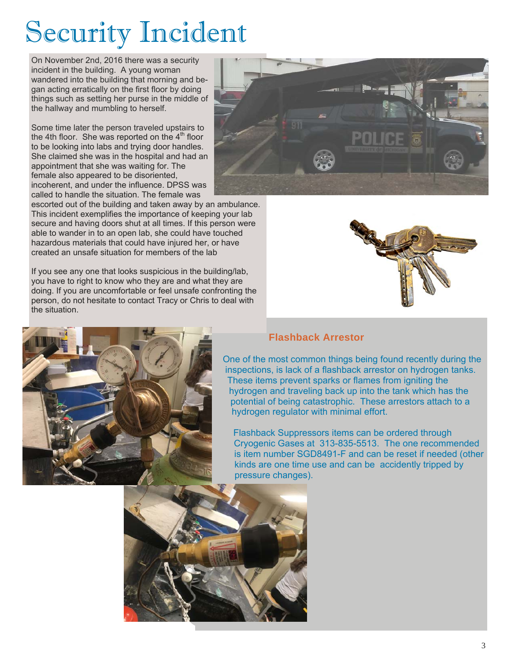# Security Incident

On November 2nd, 2016 there was a security incident in the building. A young woman wandered into the building that morning and began acting erratically on the first floor by doing things such as setting her purse in the middle of the hallway and mumbling to herself.

Some time later the person traveled upstairs to the 4th floor. She was reported on the  $4<sup>th</sup>$  floor to be looking into labs and trying door handles. She claimed she was in the hospital and had an appointment that she was waiting for. The female also appeared to be disoriented, incoherent, and under the influence. DPSS was called to handle the situation. The female was

escorted out of the building and taken away by an ambulance. This incident exemplifies the importance of keeping your lab secure and having doors shut at all times. If this person were able to wander in to an open lab, she could have touched hazardous materials that could have injured her, or have created an unsafe situation for members of the lab

If you see any one that looks suspicious in the building/lab, you have to right to know who they are and what they are doing. If you are uncomfortable or feel unsafe confronting the person, do not hesitate to contact Tracy or Chris to deal with the situation.





#### **Flashback Arrestor**

One of the most common things being found recently during the inspections, is lack of a flashback arrestor on hydrogen tanks. These items prevent sparks or flames from igniting the hydrogen and traveling back up into the tank which has the potential of being catastrophic. These arrestors attach to a hydrogen regulator with minimal effort.

Flashback Suppressors items can be ordered through Cryogenic Gases at 313-835-5513. The one recommended is item number SGD8491-F and can be reset if needed (other kinds are one time use and can be accidently tripped by pressure changes).

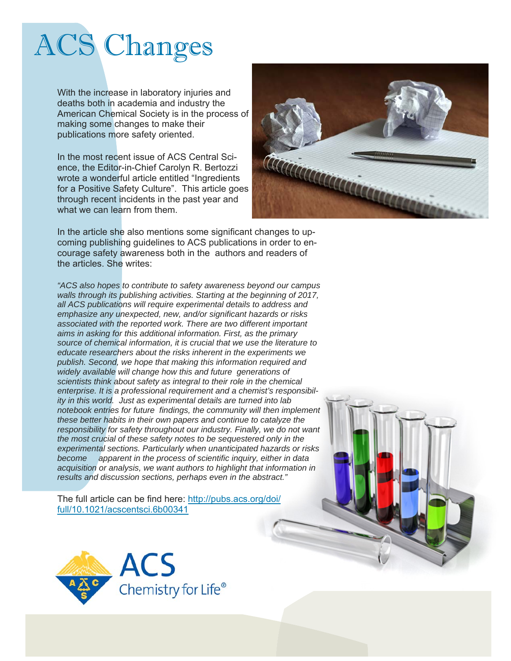# ACS Changes

With the increase in laboratory injuries and deaths both in academia and industry the American Chemical Society is in the process of making some changes to make their publications more safety oriented.

In the most recent issue of ACS Central Science, the Editor-in-Chief Carolyn R. Bertozzi wrote a wonderful article entitled "Ingredients for a Positive Safety Culture". This article goes through recent incidents in the past year and what we can learn from them.



In the article she also mentions some significant changes to upcoming publishing guidelines to ACS publications in order to encourage safety awareness both in the authors and readers of the articles. She writes:

*"ACS also hopes to contribute to safety awareness beyond our campus walls through its publishing activities. Starting at the beginning of 2017, all ACS publications will require experimental details to address and emphasize any unexpected, new, and/or significant hazards or risks associated with the reported work. There are two different important aims in asking for this additional information. First, as the primary source of chemical information, it is crucial that we use the literature to educate researchers about the risks inherent in the experiments we publish. Second, we hope that making this information required and widely available will change how this and future generations of scientists think about safety as integral to their role in the chemical enterprise. It is a professional requirement and a chemist's responsibility in this world. Just as experimental details are turned into lab notebook entries for future findings, the community will then implement these better habits in their own papers and continue to catalyze the responsibility for safety throughout our industry. Finally, we do not want the most crucial of these safety notes to be sequestered only in the experimental sections. Particularly when unanticipated hazards or risks become apparent in the process of scientific inquiry, either in data acquisition or analysis, we want authors to highlight that information in results and discussion sections, perhaps even in the abstract."* 

The full article can be find here: http://pubs.acs.org/doi/ full/10.1021/acscentsci.6b00341

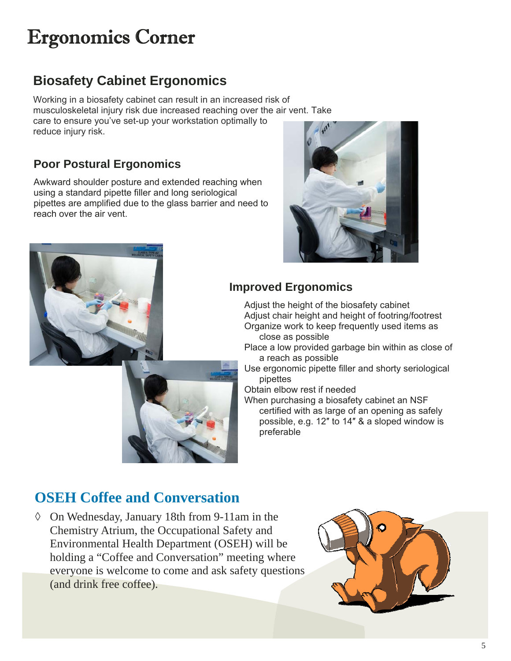## Ergonomics Corner

### **Biosafety Cabinet Ergonomics**

Working in a biosafety cabinet can result in an increased risk of musculoskeletal injury risk due increased reaching over the air vent. Take care to ensure you've set-up your workstation optimally to reduce injury risk.

#### **Poor Postural Ergonomics**

Awkward shoulder posture and extended reaching when using a standard pipette filler and long seriological pipettes are amplified due to the glass barrier and need to reach over the air vent.





#### **Improved Ergonomics**

Adjust the height of the biosafety cabinet Adjust chair height and height of footring/footrest Organize work to keep frequently used items as close as possible

Place a low provided garbage bin within as close of a reach as possible

Use ergonomic pipette filler and shorty seriological pipettes

Obtain elbow rest if needed

When purchasing a biosafety cabinet an NSF certified with as large of an opening as safely possible, e.g. 12″ to 14″ & a sloped window is preferable

### **OSEH Coffee and Conversation**

 $\Diamond$  On Wednesday, January 18th from 9-11am in the Chemistry Atrium, the Occupational Safety and Environmental Health Department (OSEH) will be holding a "Coffee and Conversation" meeting where everyone is welcome to come and ask safety questions (and drink free coffee).